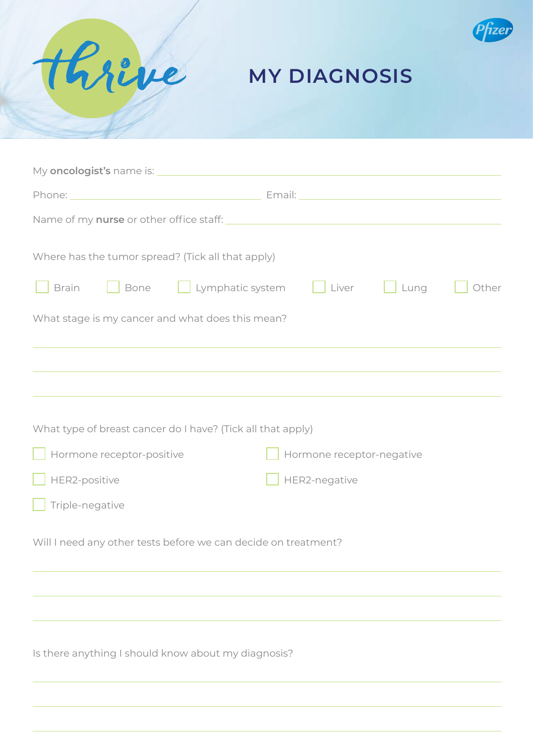



### **MY DIAGNOSIS**

| Where has the tumor spread? (Tick all that apply)              |                                                                                                                        |
|----------------------------------------------------------------|------------------------------------------------------------------------------------------------------------------------|
| Bone Lymphatic system Liver<br><b>Brain</b>                    | $\Box$ Lung<br>Other                                                                                                   |
| What stage is my cancer and what does this mean?               |                                                                                                                        |
|                                                                | <u> 1989 - Andrea Santana, amerikana amerikana amerikana amerikana amerikana amerikana amerikana amerikana amerika</u> |
|                                                                |                                                                                                                        |
| What type of breast cancer do I have? (Tick all that apply)    |                                                                                                                        |
| Hormone receptor-positive                                      | Hormone receptor-negative                                                                                              |
| HER2-positive                                                  | HER2-negative                                                                                                          |
| Triple-negative                                                |                                                                                                                        |
| Will I need any other tests before we can decide on treatment? |                                                                                                                        |
|                                                                |                                                                                                                        |
|                                                                |                                                                                                                        |
| Is there anything I should know about my diagnosis?            |                                                                                                                        |
|                                                                |                                                                                                                        |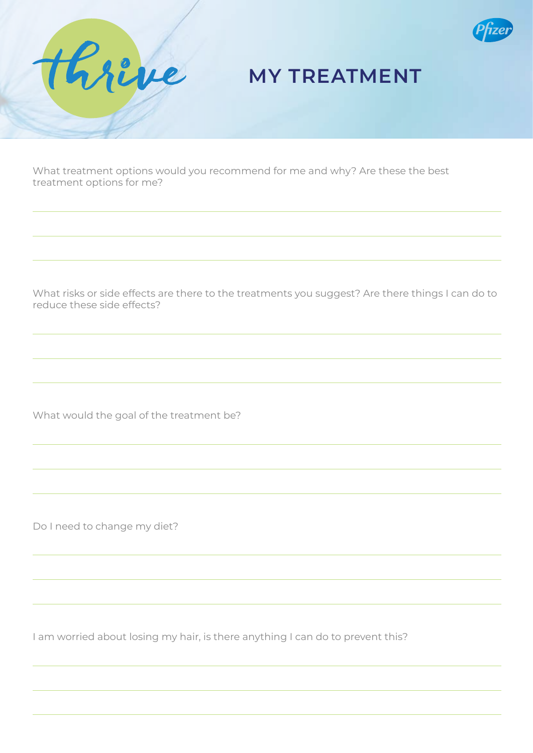

## **MY TREATMENT**

What treatment options would you recommend for me and why? Are these the best treatment options for me?

What risks or side effects are there to the treatments you suggest? Are there things I can do to reduce these side effects?

What would the goal of the treatment be?

Do I need to change my diet?

Rre

ve

I am worried about losing my hair, is there anything I can do to prevent this?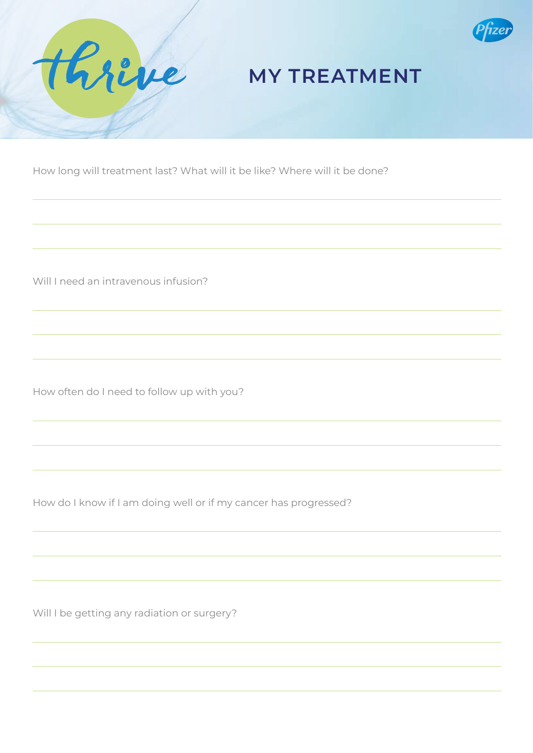



### **MY TREATMENT**

How long will treatment last? What will it be like? Where will it be done?

Will I need an intravenous infusion?

How often do I need to follow up with you?

How do I know if I am doing well or if my cancer has progressed?

Will I be getting any radiation or surgery?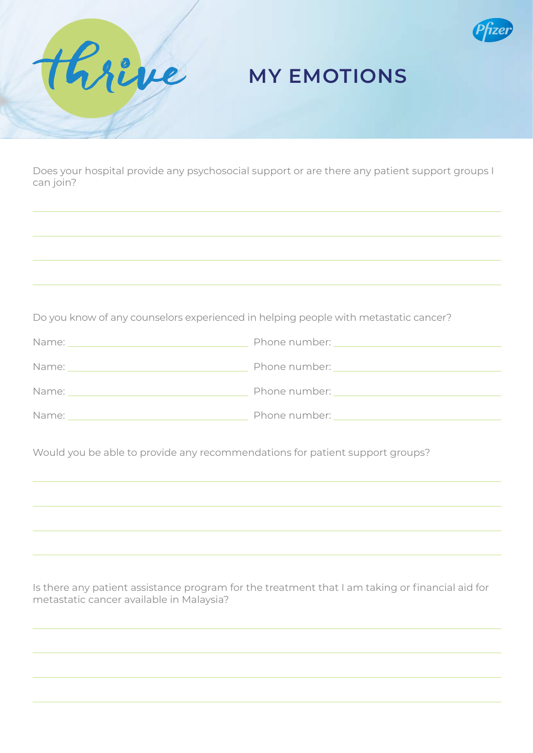

### **MY EMOTIONS**

Does your hospital provide any psychosocial support or are there any patient support groups I can join?

thrève

Do you know of any counselors experienced in helping people with metastatic cancer?

| Name: | Phone number: |
|-------|---------------|
| Name: | Phone number: |
| Name: | Phone number: |
| Name: | Phone number: |

Would you be able to provide any recommendations for patient support groups?

Is there any patient assistance program for the treatment that I am taking or financial aid for metastatic cancer available in Malaysia?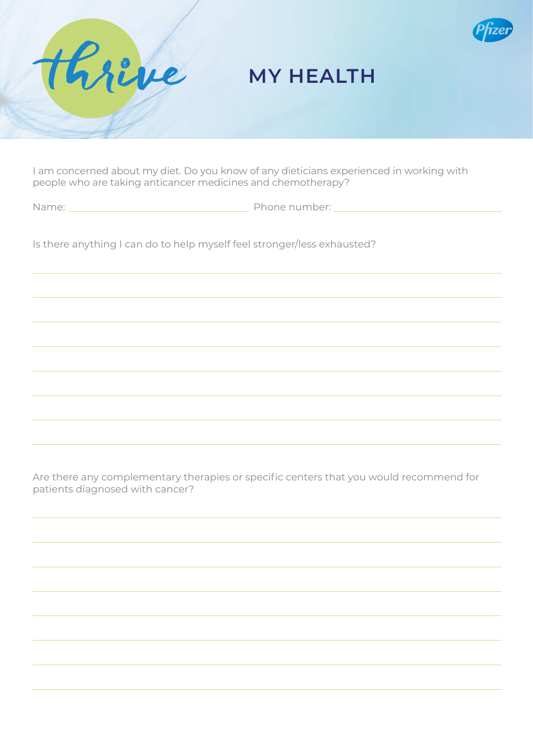

# ve hr

### **MY HEALTH**

I am concerned about my diet. Do you know of any dieticians experienced in working with people who are taking anticancer medicines and chemotherapy?

Name: Name: Phone number:

Is there anything I can do to help myself feel stronger/less exhausted?

Are there any complementary therapies or specific centers that you would recommend for patients diagnosed with cancer?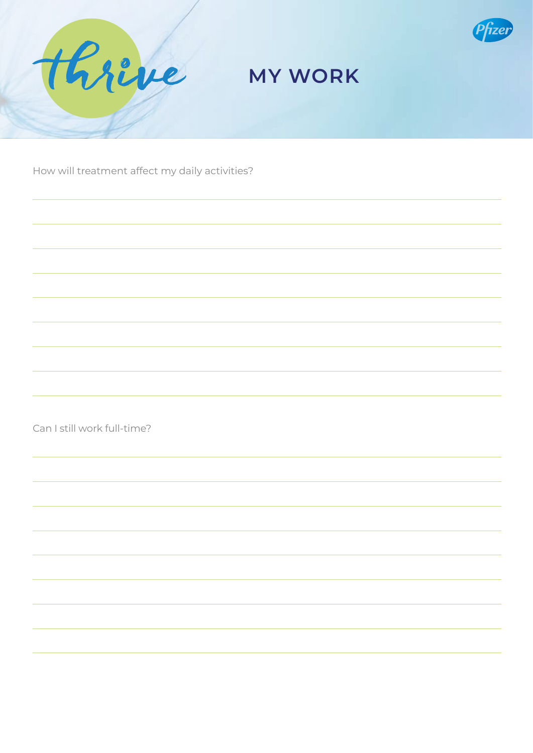



### **MY WORK**

How will treatment affect my daily activities?

Can I still work full-time?